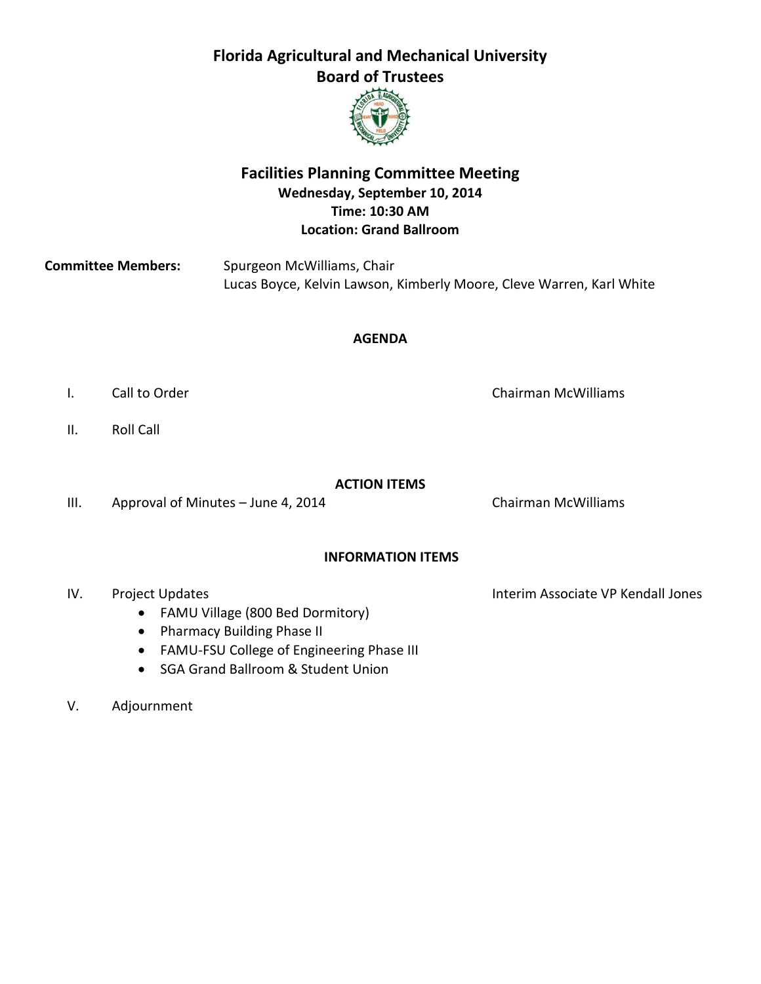

### **Facilities Planning Committee Meeting Wednesday, September 10, 2014 Time: 10:30 AM Location: Grand Ballroom**

**Committee Members:** Spurgeon McWilliams, Chair Lucas Boyce, Kelvin Lawson, Kimberly Moore, Cleve Warren, Karl White

#### **AGENDA**

- I. Call to Order Chairman McWilliams
- II. Roll Call

#### **ACTION ITEMS**

III. Approval of Minutes – June 4, 2014 Chairman McWilliams

#### **INFORMATION ITEMS**

- IV. Project Updates **Interim Associate VP Kendall Jones** 
	- FAMU Village (800 Bed Dormitory)
	- Pharmacy Building Phase II
	- FAMU-FSU College of Engineering Phase III
	- SGA Grand Ballroom & Student Union
- V. Adjournment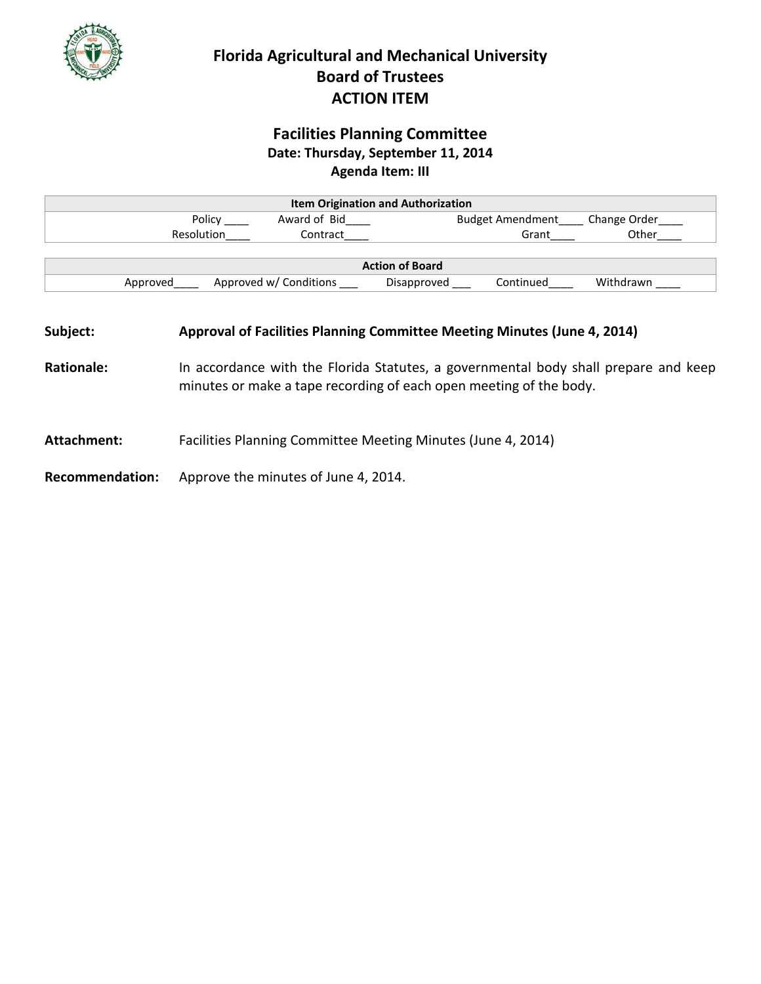

## **Facilities Planning Committee Date: Thursday, September 11, 2014 Agenda Item: III**

| <b>Item Origination and Authorization</b> |                                                                                                                                                                                                                                       |                                          |             |           |                                           |
|-------------------------------------------|---------------------------------------------------------------------------------------------------------------------------------------------------------------------------------------------------------------------------------------|------------------------------------------|-------------|-----------|-------------------------------------------|
|                                           |                                                                                                                                                                                                                                       | Policy ______________ Award of Bid______ |             |           | Budget Amendment _____ Change Order _____ |
|                                           | Resolution                                                                                                                                                                                                                            | Contract                                 |             | Grant     | Other                                     |
|                                           |                                                                                                                                                                                                                                       |                                          |             |           |                                           |
| <b>Action of Board</b>                    |                                                                                                                                                                                                                                       |                                          |             |           |                                           |
|                                           |                                                                                                                                                                                                                                       | Approved Approved w/ Conditions          | Disapproved | Continued | Withdrawn                                 |
| Subject:<br><b>Rationale:</b>             | Approval of Facilities Planning Committee Meeting Minutes (June 4, 2014)<br>In accordance with the Florida Statutes, a governmental body shall prepare and keep<br>minutes or make a tape recording of each open meeting of the body. |                                          |             |           |                                           |
| Attachment:                               | Facilities Planning Committee Meeting Minutes (June 4, 2014)                                                                                                                                                                          |                                          |             |           |                                           |
| <b>Recommendation:</b>                    | Approve the minutes of June 4, 2014.                                                                                                                                                                                                  |                                          |             |           |                                           |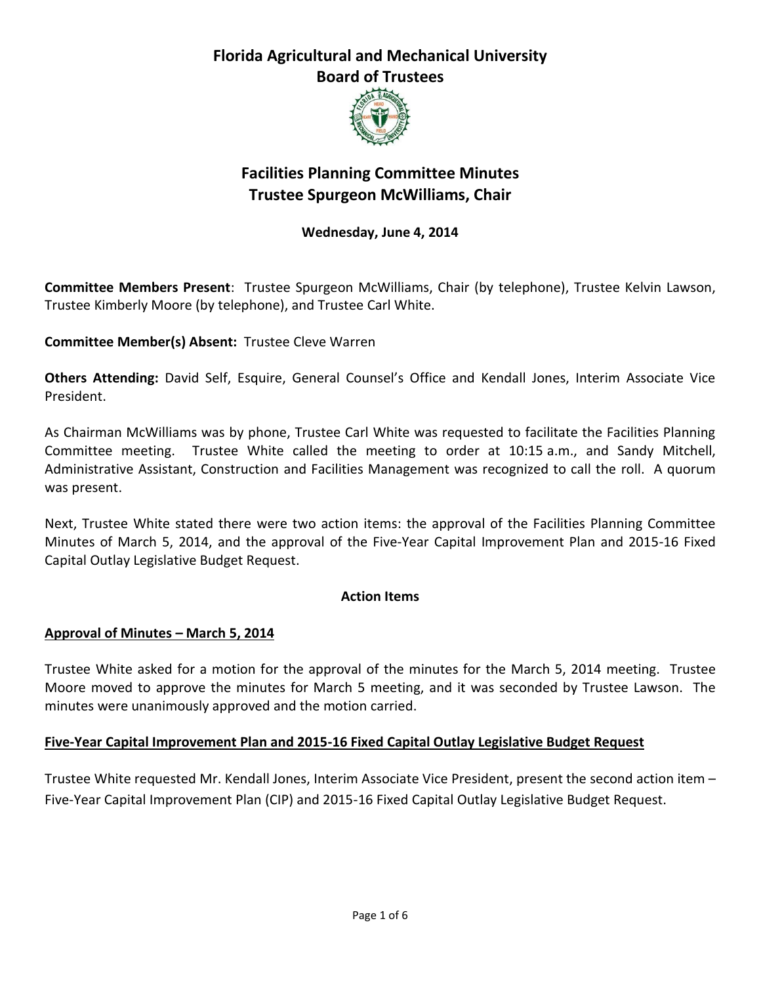

# **Facilities Planning Committee Minutes Trustee Spurgeon McWilliams, Chair**

#### **Wednesday, June 4, 2014**

**Committee Members Present**: Trustee Spurgeon McWilliams, Chair (by telephone), Trustee Kelvin Lawson, Trustee Kimberly Moore (by telephone), and Trustee Carl White.

**Committee Member(s) Absent:** Trustee Cleve Warren

**Others Attending:** David Self, Esquire, General Counsel's Office and Kendall Jones, Interim Associate Vice President.

As Chairman McWilliams was by phone, Trustee Carl White was requested to facilitate the Facilities Planning Committee meeting. Trustee White called the meeting to order at 10:15 a.m., and Sandy Mitchell, Administrative Assistant, Construction and Facilities Management was recognized to call the roll. A quorum was present.

Next, Trustee White stated there were two action items: the approval of the Facilities Planning Committee Minutes of March 5, 2014, and the approval of the Five-Year Capital Improvement Plan and 2015-16 Fixed Capital Outlay Legislative Budget Request.

#### **Action Items**

#### **Approval of Minutes – March 5, 2014**

Trustee White asked for a motion for the approval of the minutes for the March 5, 2014 meeting. Trustee Moore moved to approve the minutes for March 5 meeting, and it was seconded by Trustee Lawson. The minutes were unanimously approved and the motion carried.

#### **Five-Year Capital Improvement Plan and 2015-16 Fixed Capital Outlay Legislative Budget Request**

Trustee White requested Mr. Kendall Jones, Interim Associate Vice President, present the second action item – Five-Year Capital Improvement Plan (CIP) and 2015-16 Fixed Capital Outlay Legislative Budget Request.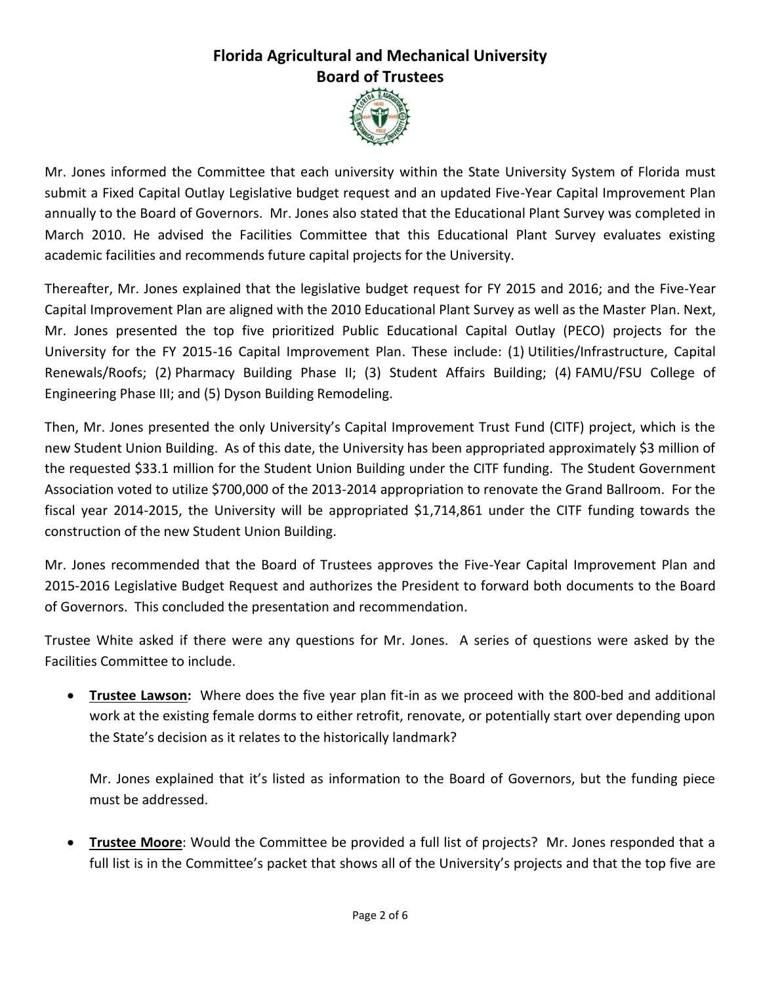

Mr. Jones informed the Committee that each university within the State University System of Florida must submit a Fixed Capital Outlay Legislative budget request and an updated Five-Year Capital Improvement Plan annually to the Board of Governors. Mr. Jones also stated that the Educational Plant Survey was completed in March 2010. He advised the Facilities Committee that this Educational Plant Survey evaluates existing academic facilities and recommends future capital projects for the University.

Thereafter, Mr. Jones explained that the legislative budget request for FY 2015 and 2016; and the Five-Year Capital Improvement Plan are aligned with the 2010 Educational Plant Survey as well as the Master Plan. Next, Mr. Jones presented the top five prioritized Public Educational Capital Outlay (PECO) projects for the University for the FY 2015-16 Capital Improvement Plan. These include: (1) Utilities/Infrastructure, Capital Renewals/Roofs; (2) Pharmacy Building Phase II; (3) Student Affairs Building; (4) FAMU/FSU College of Engineering Phase III; and (5) Dyson Building Remodeling.

Then, Mr. Jones presented the only University's Capital Improvement Trust Fund (CITF) project, which is the new Student Union Building. As of this date, the University has been appropriated approximately \$3 million of the requested \$33.1 million for the Student Union Building under the CITF funding. The Student Government Association voted to utilize \$700,000 of the 2013-2014 appropriation to renovate the Grand Ballroom. For the fiscal year 2014-2015, the University will be appropriated \$1,714,861 under the CITF funding towards the construction of the new Student Union Building.

Mr. Jones recommended that the Board of Trustees approves the Five-Year Capital Improvement Plan and 2015-2016 Legislative Budget Request and authorizes the President to forward both documents to the Board of Governors. This concluded the presentation and recommendation.

Trustee White asked if there were any questions for Mr. Jones. A series of questions were asked by the Facilities Committee to include.

 **Trustee Lawson:** Where does the five year plan fit-in as we proceed with the 800-bed and additional work at the existing female dorms to either retrofit, renovate, or potentially start over depending upon the State's decision as it relates to the historically landmark?

Mr. Jones explained that it's listed as information to the Board of Governors, but the funding piece must be addressed.

 **Trustee Moore**: Would the Committee be provided a full list of projects? Mr. Jones responded that a full list is in the Committee's packet that shows all of the University's projects and that the top five are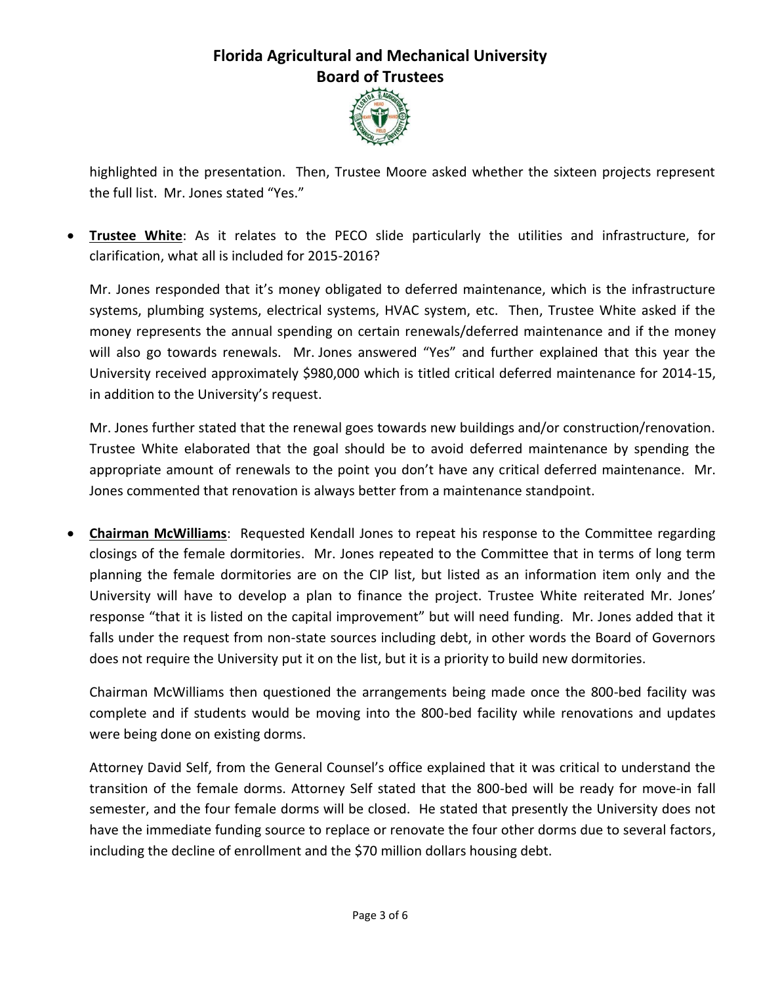

highlighted in the presentation. Then, Trustee Moore asked whether the sixteen projects represent the full list. Mr. Jones stated "Yes."

 **Trustee White**: As it relates to the PECO slide particularly the utilities and infrastructure, for clarification, what all is included for 2015-2016?

Mr. Jones responded that it's money obligated to deferred maintenance, which is the infrastructure systems, plumbing systems, electrical systems, HVAC system, etc. Then, Trustee White asked if the money represents the annual spending on certain renewals/deferred maintenance and if the money will also go towards renewals. Mr. Jones answered "Yes" and further explained that this year the University received approximately \$980,000 which is titled critical deferred maintenance for 2014-15, in addition to the University's request.

Mr. Jones further stated that the renewal goes towards new buildings and/or construction/renovation. Trustee White elaborated that the goal should be to avoid deferred maintenance by spending the appropriate amount of renewals to the point you don't have any critical deferred maintenance. Mr. Jones commented that renovation is always better from a maintenance standpoint.

 **Chairman McWilliams**: Requested Kendall Jones to repeat his response to the Committee regarding closings of the female dormitories. Mr. Jones repeated to the Committee that in terms of long term planning the female dormitories are on the CIP list, but listed as an information item only and the University will have to develop a plan to finance the project. Trustee White reiterated Mr. Jones' response "that it is listed on the capital improvement" but will need funding. Mr. Jones added that it falls under the request from non-state sources including debt, in other words the Board of Governors does not require the University put it on the list, but it is a priority to build new dormitories.

Chairman McWilliams then questioned the arrangements being made once the 800-bed facility was complete and if students would be moving into the 800-bed facility while renovations and updates were being done on existing dorms.

Attorney David Self, from the General Counsel's office explained that it was critical to understand the transition of the female dorms. Attorney Self stated that the 800-bed will be ready for move-in fall semester, and the four female dorms will be closed. He stated that presently the University does not have the immediate funding source to replace or renovate the four other dorms due to several factors, including the decline of enrollment and the \$70 million dollars housing debt.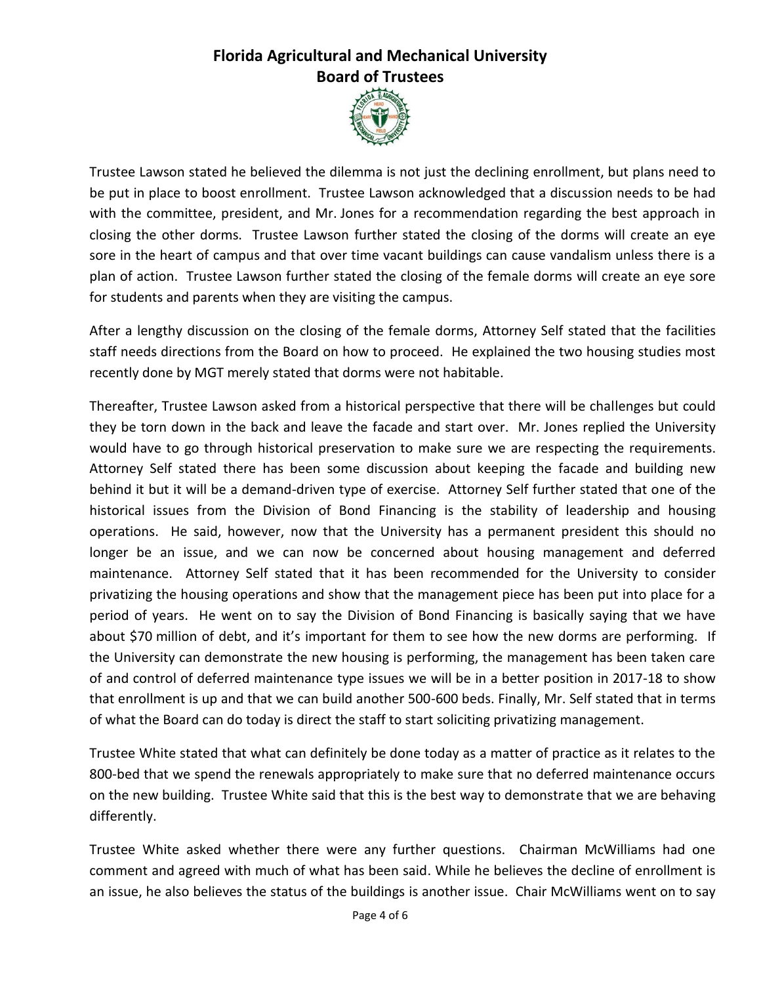

Trustee Lawson stated he believed the dilemma is not just the declining enrollment, but plans need to be put in place to boost enrollment. Trustee Lawson acknowledged that a discussion needs to be had with the committee, president, and Mr. Jones for a recommendation regarding the best approach in closing the other dorms. Trustee Lawson further stated the closing of the dorms will create an eye sore in the heart of campus and that over time vacant buildings can cause vandalism unless there is a plan of action. Trustee Lawson further stated the closing of the female dorms will create an eye sore for students and parents when they are visiting the campus.

After a lengthy discussion on the closing of the female dorms, Attorney Self stated that the facilities staff needs directions from the Board on how to proceed. He explained the two housing studies most recently done by MGT merely stated that dorms were not habitable.

Thereafter, Trustee Lawson asked from a historical perspective that there will be challenges but could they be torn down in the back and leave the facade and start over. Mr. Jones replied the University would have to go through historical preservation to make sure we are respecting the requirements. Attorney Self stated there has been some discussion about keeping the facade and building new behind it but it will be a demand-driven type of exercise. Attorney Self further stated that one of the historical issues from the Division of Bond Financing is the stability of leadership and housing operations. He said, however, now that the University has a permanent president this should no longer be an issue, and we can now be concerned about housing management and deferred maintenance. Attorney Self stated that it has been recommended for the University to consider privatizing the housing operations and show that the management piece has been put into place for a period of years. He went on to say the Division of Bond Financing is basically saying that we have about \$70 million of debt, and it's important for them to see how the new dorms are performing. If the University can demonstrate the new housing is performing, the management has been taken care of and control of deferred maintenance type issues we will be in a better position in 2017-18 to show that enrollment is up and that we can build another 500-600 beds. Finally, Mr. Self stated that in terms of what the Board can do today is direct the staff to start soliciting privatizing management.

Trustee White stated that what can definitely be done today as a matter of practice as it relates to the 800-bed that we spend the renewals appropriately to make sure that no deferred maintenance occurs on the new building. Trustee White said that this is the best way to demonstrate that we are behaving differently.

Trustee White asked whether there were any further questions. Chairman McWilliams had one comment and agreed with much of what has been said. While he believes the decline of enrollment is an issue, he also believes the status of the buildings is another issue. Chair McWilliams went on to say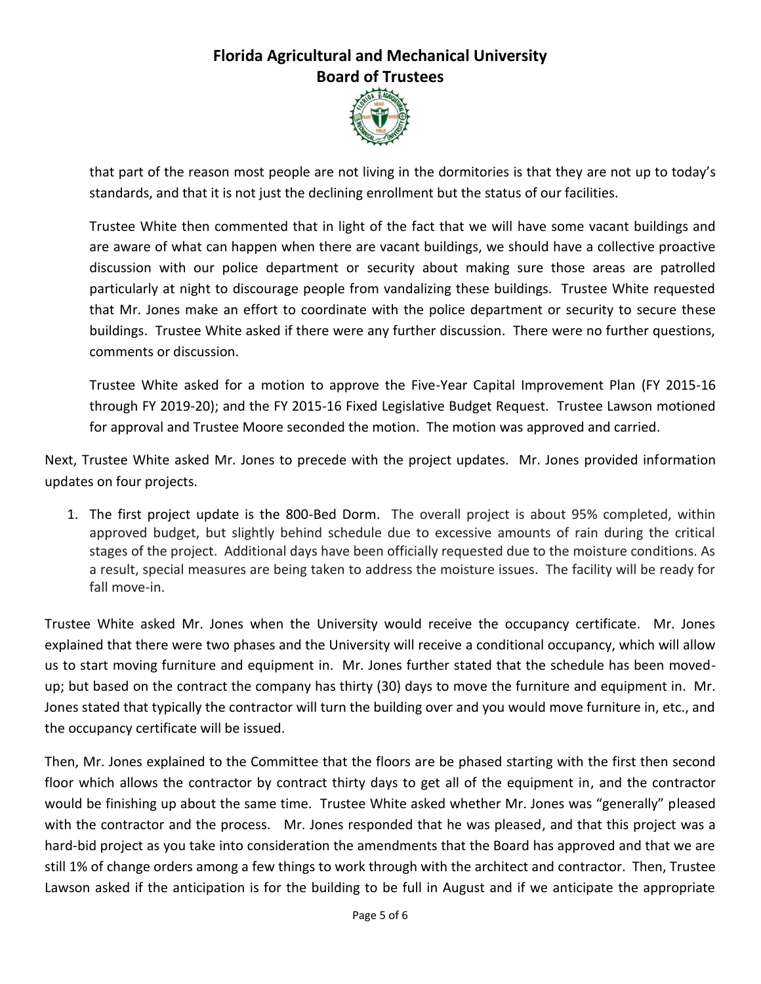

that part of the reason most people are not living in the dormitories is that they are not up to today's standards, and that it is not just the declining enrollment but the status of our facilities.

Trustee White then commented that in light of the fact that we will have some vacant buildings and are aware of what can happen when there are vacant buildings, we should have a collective proactive discussion with our police department or security about making sure those areas are patrolled particularly at night to discourage people from vandalizing these buildings. Trustee White requested that Mr. Jones make an effort to coordinate with the police department or security to secure these buildings. Trustee White asked if there were any further discussion. There were no further questions, comments or discussion.

Trustee White asked for a motion to approve the Five-Year Capital Improvement Plan (FY 2015-16 through FY 2019-20); and the FY 2015-16 Fixed Legislative Budget Request. Trustee Lawson motioned for approval and Trustee Moore seconded the motion. The motion was approved and carried.

Next, Trustee White asked Mr. Jones to precede with the project updates. Mr. Jones provided information updates on four projects.

1. The first project update is the 800-Bed Dorm. The overall project is about 95% completed, within approved budget, but slightly behind schedule due to excessive amounts of rain during the critical stages of the project. Additional days have been officially requested due to the moisture conditions. As a result, special measures are being taken to address the moisture issues. The facility will be ready for fall move-in.

Trustee White asked Mr. Jones when the University would receive the occupancy certificate. Mr. Jones explained that there were two phases and the University will receive a conditional occupancy, which will allow us to start moving furniture and equipment in. Mr. Jones further stated that the schedule has been movedup; but based on the contract the company has thirty (30) days to move the furniture and equipment in. Mr. Jones stated that typically the contractor will turn the building over and you would move furniture in, etc., and the occupancy certificate will be issued.

Then, Mr. Jones explained to the Committee that the floors are be phased starting with the first then second floor which allows the contractor by contract thirty days to get all of the equipment in, and the contractor would be finishing up about the same time. Trustee White asked whether Mr. Jones was "generally" pleased with the contractor and the process. Mr. Jones responded that he was pleased, and that this project was a hard-bid project as you take into consideration the amendments that the Board has approved and that we are still 1% of change orders among a few things to work through with the architect and contractor. Then, Trustee Lawson asked if the anticipation is for the building to be full in August and if we anticipate the appropriate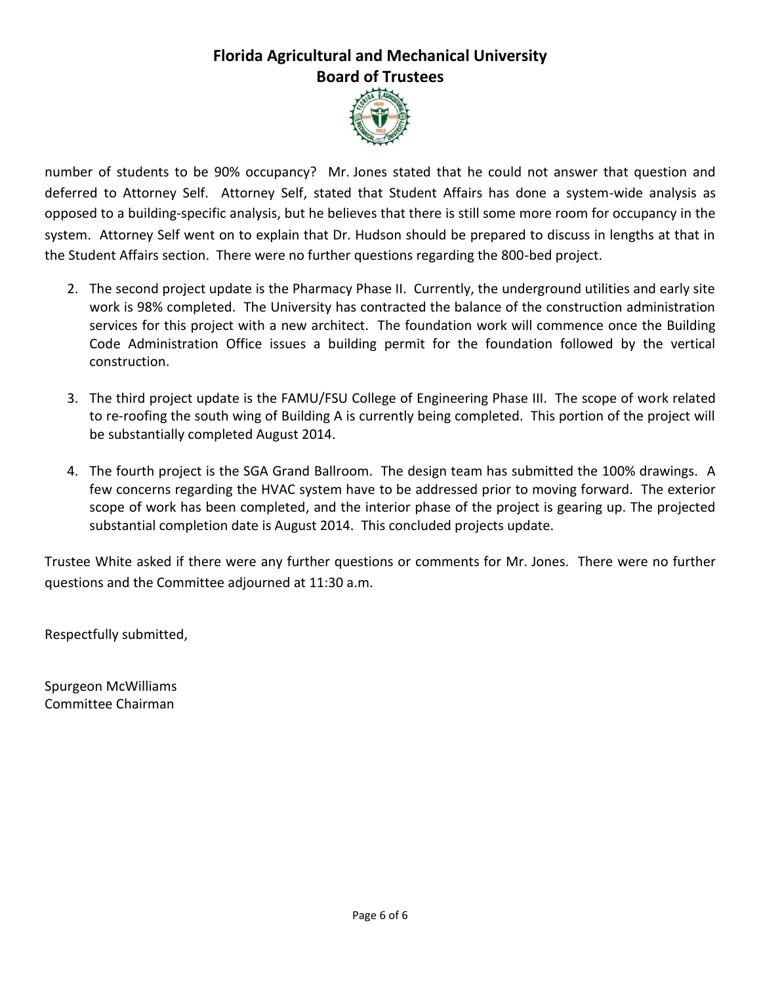

number of students to be 90% occupancy? Mr. Jones stated that he could not answer that question and deferred to Attorney Self. Attorney Self, stated that Student Affairs has done a system-wide analysis as opposed to a building-specific analysis, but he believes that there is still some more room for occupancy in the system. Attorney Self went on to explain that Dr. Hudson should be prepared to discuss in lengths at that in the Student Affairs section. There were no further questions regarding the 800-bed project.

- 2. The second project update is the Pharmacy Phase II. Currently, the underground utilities and early site work is 98% completed. The University has contracted the balance of the construction administration services for this project with a new architect. The foundation work will commence once the Building Code Administration Office issues a building permit for the foundation followed by the vertical construction.
- 3. The third project update is the FAMU/FSU College of Engineering Phase III. The scope of work related to re-roofing the south wing of Building A is currently being completed. This portion of the project will be substantially completed August 2014.
- 4. The fourth project is the SGA Grand Ballroom. The design team has submitted the 100% drawings. A few concerns regarding the HVAC system have to be addressed prior to moving forward. The exterior scope of work has been completed, and the interior phase of the project is gearing up. The projected substantial completion date is August 2014. This concluded projects update.

Trustee White asked if there were any further questions or comments for Mr. Jones. There were no further questions and the Committee adjourned at 11:30 a.m.

Respectfully submitted,

Spurgeon McWilliams Committee Chairman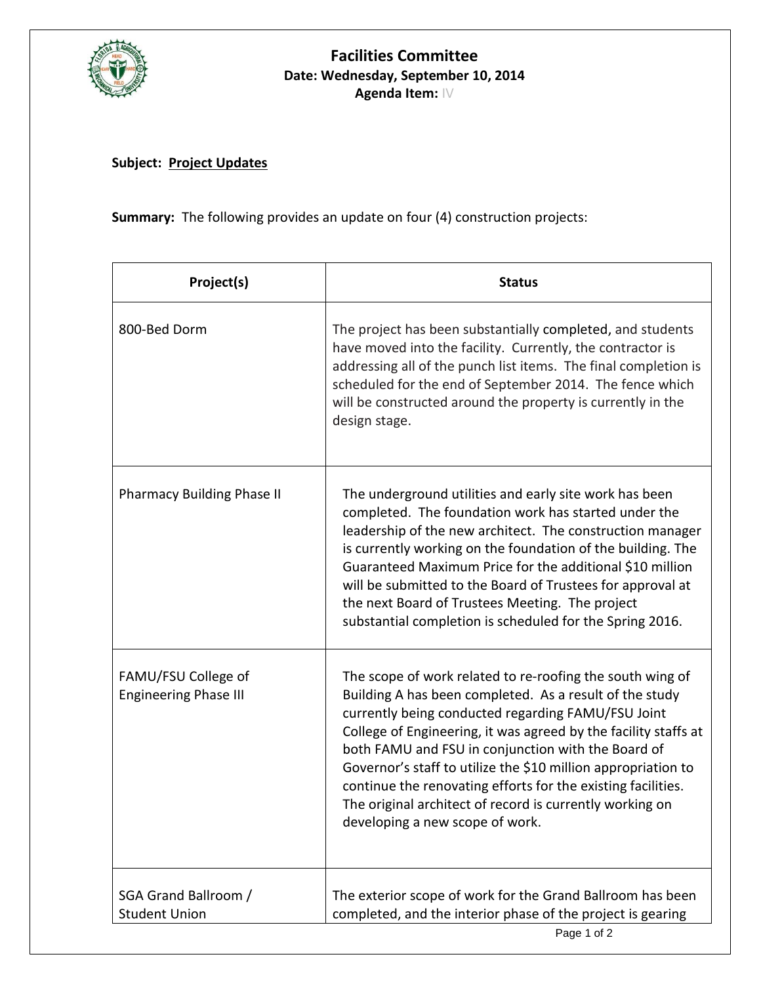

### **Facilities Committee Date: Wednesday, September 10, 2014 Agenda Item:** IV

### **Subject: Project Updates**

**Summary:** The following provides an update on four (4) construction projects:

| Project(s)                                          | <b>Status</b>                                                                                                                                                                                                                                                                                                                                                                                                                                                                                                                       |  |  |  |
|-----------------------------------------------------|-------------------------------------------------------------------------------------------------------------------------------------------------------------------------------------------------------------------------------------------------------------------------------------------------------------------------------------------------------------------------------------------------------------------------------------------------------------------------------------------------------------------------------------|--|--|--|
| 800-Bed Dorm                                        | The project has been substantially completed, and students<br>have moved into the facility. Currently, the contractor is<br>addressing all of the punch list items. The final completion is<br>scheduled for the end of September 2014. The fence which<br>will be constructed around the property is currently in the<br>design stage.                                                                                                                                                                                             |  |  |  |
| <b>Pharmacy Building Phase II</b>                   | The underground utilities and early site work has been<br>completed. The foundation work has started under the<br>leadership of the new architect. The construction manager<br>is currently working on the foundation of the building. The<br>Guaranteed Maximum Price for the additional \$10 million<br>will be submitted to the Board of Trustees for approval at<br>the next Board of Trustees Meeting. The project<br>substantial completion is scheduled for the Spring 2016.                                                 |  |  |  |
| FAMU/FSU College of<br><b>Engineering Phase III</b> | The scope of work related to re-roofing the south wing of<br>Building A has been completed. As a result of the study<br>currently being conducted regarding FAMU/FSU Joint<br>College of Engineering, it was agreed by the facility staffs at<br>both FAMU and FSU in conjunction with the Board of<br>Governor's staff to utilize the \$10 million appropriation to<br>continue the renovating efforts for the existing facilities.<br>The original architect of record is currently working on<br>developing a new scope of work. |  |  |  |
| SGA Grand Ballroom /<br><b>Student Union</b>        | The exterior scope of work for the Grand Ballroom has been<br>completed, and the interior phase of the project is gearing                                                                                                                                                                                                                                                                                                                                                                                                           |  |  |  |